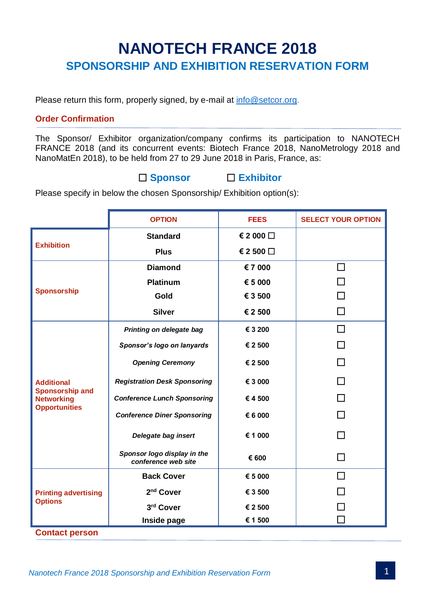# **NANOTECH FRANCE 2018 SPONSORSHIP AND EXHIBITION RESERVATION FORM**

Please return this form, properly signed, by e-mail at [info@setcor.org.](mailto:info@setcor.org)

## **Order Confirmation**

The Sponsor/ Exhibitor organization/company confirms its participation to NANOTECH FRANCE 2018 (and its concurrent events: Biotech France 2018, NanoMetrology 2018 and NanoMatEn 2018), to be held from 27 to 29 June 2018 in Paris, France, as:

## **Sponsor Exhibitor**

Please specify in below the chosen Sponsorship/ Exhibition option(s):

|                                                                                          | <b>OPTION</b>                                      | <b>FEES</b> | <b>SELECT YOUR OPTION</b> |
|------------------------------------------------------------------------------------------|----------------------------------------------------|-------------|---------------------------|
| <b>Exhibition</b>                                                                        | <b>Standard</b>                                    | € 2 000 □   |                           |
|                                                                                          | <b>Plus</b>                                        | € 2 500 □   |                           |
| <b>Sponsorship</b>                                                                       | <b>Diamond</b>                                     | €7 000      | ΙI                        |
|                                                                                          | <b>Platinum</b>                                    | € 5 000     |                           |
|                                                                                          | Gold                                               | € 3 500     |                           |
|                                                                                          | <b>Silver</b>                                      | € 2 500     | П                         |
| <b>Additional</b><br><b>Sponsorship and</b><br><b>Networking</b><br><b>Opportunities</b> | Printing on delegate bag                           | € 3 200     | П                         |
|                                                                                          | Sponsor's logo on lanyards                         | € 2 500     |                           |
|                                                                                          | <b>Opening Ceremony</b>                            | € 2 500     |                           |
|                                                                                          | <b>Registration Desk Sponsoring</b>                | € 3 000     | П                         |
|                                                                                          | <b>Conference Lunch Sponsoring</b>                 | €4500       |                           |
|                                                                                          | <b>Conference Diner Sponsoring</b>                 | € 6 000     |                           |
|                                                                                          | Delegate bag insert                                | € 1 000     |                           |
|                                                                                          | Sponsor logo display in the<br>conference web site | € 600       |                           |
| <b>Printing advertising</b><br><b>Options</b>                                            | <b>Back Cover</b>                                  | € 5 000     |                           |
|                                                                                          | 2 <sup>nd</sup> Cover                              | € 3 500     |                           |
|                                                                                          | 3rd Cover                                          | € 2 500     |                           |
|                                                                                          | Inside page                                        | € 1 500     |                           |

**Contact person**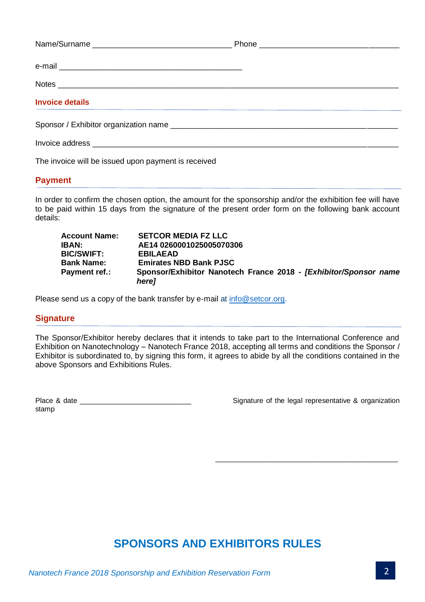| <b>Invoice details</b>                                                                                          |  |
|-----------------------------------------------------------------------------------------------------------------|--|
|                                                                                                                 |  |
| Invoice address experience and the set of the set of the set of the set of the set of the set of the set of the |  |
|                                                                                                                 |  |

The invoice will be issued upon payment is received

## **Payment**

In order to confirm the chosen option, the amount for the sponsorship and/or the exhibition fee will have to be paid within 15 days from the signature of the present order form on the following bank account details:

| <b>Account Name:</b> | <b>SETCOR MEDIA FZ LLC</b>                                                            |
|----------------------|---------------------------------------------------------------------------------------|
| <b>IBAN:</b>         | AE14 0260001025005070306                                                              |
| <b>BIC/SWIFT:</b>    | <b>EBILAEAD</b>                                                                       |
| Bank Name:           | <b>Emirates NBD Bank PJSC</b>                                                         |
| Payment ref.:        | Sponsor/Exhibitor Nanotech France 2018 - [Exhibitor/Sponsor name<br>here <sub>l</sub> |

Please send us a copy of the bank transfer by e-mail at [info@setcor.org.](mailto:info@setcor.org)

## **Signature**

The Sponsor/Exhibitor hereby declares that it intends to take part to the International Conference and Exhibition on Nanotechnology – Nanotech France 2018, accepting all terms and conditions the Sponsor / Exhibitor is subordinated to, by signing this form, it agrees to abide by all the conditions contained in the above Sponsors and Exhibitions Rules.

stamp

Place & date \_\_\_\_\_\_\_\_\_\_\_\_\_\_\_\_\_\_\_\_\_\_\_\_\_\_\_\_ Signature of the legal representative & organization

\_\_\_\_\_\_\_\_\_\_\_\_\_\_\_\_\_\_\_\_\_\_\_\_\_\_\_\_\_\_\_\_\_\_\_\_\_\_\_\_\_\_\_\_\_\_

## **SPONSORS AND EXHIBITORS RULES**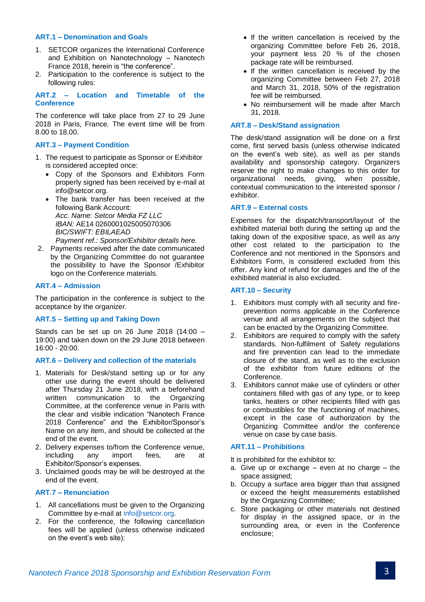#### **ART.1 – Denomination and Goals**

- 1. SETCOR organizes the International Conference and Exhibition on Nanotechnology – Nanotech France 2018, herein is "the conference".
- 2. Participation to the conference is subject to the following rules:

**ART.2 – Location and Timetable of the Conference**

The conference will take place from 27 to 29 June 2018 in Paris, France. The event time will be from 8.00 to 18.00.

#### **ART.3 – Payment Condition**

- 1. The request to participate as Sponsor or Exhibitor is considered accepted once:
	- Copy of the Sponsors and Exhibitors Form properly signed has been received by e-mail at info@setcor.org.
	- The bank transfer has been received at the following Bank Account: *Acc. Name: Setcor Media FZ LLC IBAN:* AE14 0260001025005070306 *BIC/SWIFT: EBILAEAD Payment ref.: Sponsor/Exhibitor details here.*
- 2. Payments received after the date communicated by the Organizing Committee do not guarantee the possibility to have the Sponsor /Exhibitor logo on the Conference materials.

#### **ART.4 – Admission**

The participation in the conference is subject to the acceptance by the organizer.

#### **ART.5 – Setting up and Taking Down**

Stands can be set up on 26 June 2018 (14:00 – 19:00) and taken down on the 29 June 2018 between 16:00 - 20:00.

#### **ART.6 – Delivery and collection of the materials**

- 1. Materials for Desk/stand setting up or for any other use during the event should be delivered after Thursday 21 June 2018, with a beforehand written communication to the Organizing Committee, at the conference venue in Paris with the clear and visible indication "Nanotech France 2018 Conference" and the Exhibitor/Sponsor's Name on any item, and should be collected at the end of the event.
- 2. Delivery expenses to/from the Conference venue, including any import fees, are at Exhibitor/Sponsor's expenses.
- 3. Unclaimed goods may be will be destroyed at the end of the event.

#### **ART.7 – Renunciation**

- 1. All cancellations must be given to the Organizing Committee by e-mail at [info@setcor.org.](mailto:info@setcor.org)
- 2. For the conference, the following cancellation fees will be applied (unless otherwise indicated on the event's web site):
- If the written cancellation is received by the organizing Committee before Feb 26, 2018, your payment less 20 % of the chosen package rate will be reimbursed.
- If the written cancellation is received by the organizing Committee between Feb 27, 2018 and March 31, 2018, 50% of the registration fee will be reimbursed.
- No reimbursement will be made after March 31, 2018.

#### **ART.8 – Desk/Stand assignation**

The desk/stand assignation will be done on a first come, first served basis (unless otherwise indicated on the event's web site), as well as per stands availability and sponsorship category. Organizers reserve the right to make changes to this order for organizational needs, giving, when possible, contextual communication to the interested sponsor / exhibitor.

#### **ART.9 – External costs**

Expenses for the dispatch/transport/layout of the exhibited material both during the setting up and the taking down of the expositive space, as well as any other cost related to the participation to the Conference and not mentioned in the Sponsors and Exhibitors Form, is considered excluded from this offer. Any kind of refund for damages and the of the exhibited material is also excluded.

#### **ART.10 – Security**

- 1. Exhibitors must comply with all security and fireprevention norms applicable in the Conference venue and all arrangements on the subject that can be enacted by the Organizing Committee.
- 2. Exhibitors are required to comply with the safety standards. Non-fulfilment of Safety regulations and fire prevention can lead to the immediate closure of the stand, as well as to the exclusion of the exhibitor from future editions of the Conference.
- 3. Exhibitors cannot make use of cylinders or other containers filled with gas of any type, or to keep tanks, heaters or other recipients filled with gas or combustibles for the functioning of machines, except in the case of authorization by the Organizing Committee and/or the conference venue on case by case basis.

#### **ART.11 – Prohibitions**

It is prohibited for the exhibitor to:

- a. Give up or exchange even at no charge the space assigned;
- b. Occupy a surface area bigger than that assigned or exceed the height measurements established by the Organizing Committee;
- c. Store packaging or other materials not destined for display in the assigned space, or in the surrounding area, or even in the Conference enclosure;